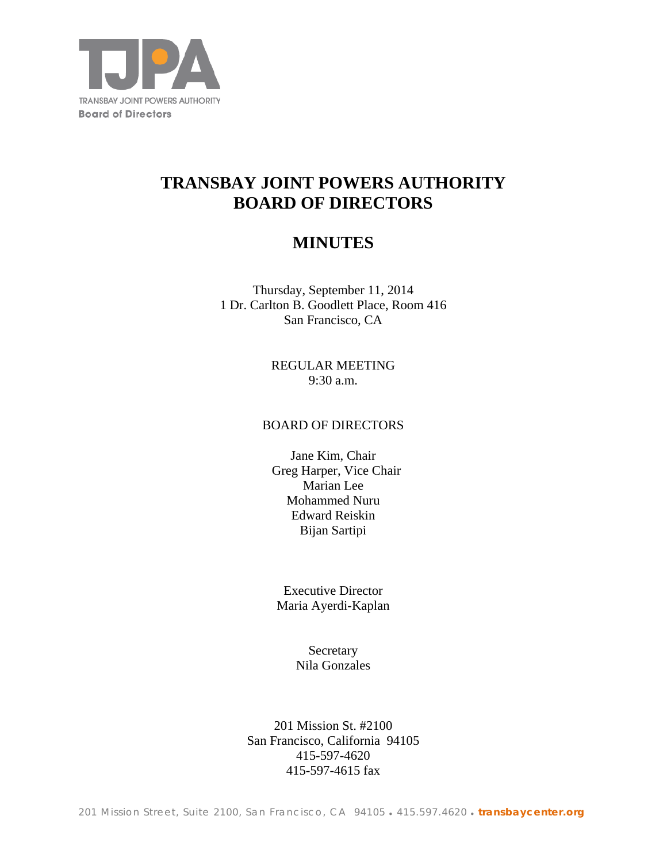

# **TRANSBAY JOINT POWERS AUTHORITY BOARD OF DIRECTORS**

## **MINUTES**

Thursday, September 11, 2014 1 Dr. Carlton B. Goodlett Place, Room 416 San Francisco, CA

> REGULAR MEETING 9:30 a.m.

## BOARD OF DIRECTORS

Jane Kim, Chair Greg Harper, Vice Chair Marian Lee Mohammed Nuru Edward Reiskin Bijan Sartipi

Executive Director Maria Ayerdi-Kaplan

> **Secretary** Nila Gonzales

201 Mission St. #2100 San Francisco, California 94105 415-597-4620 415-597-4615 fax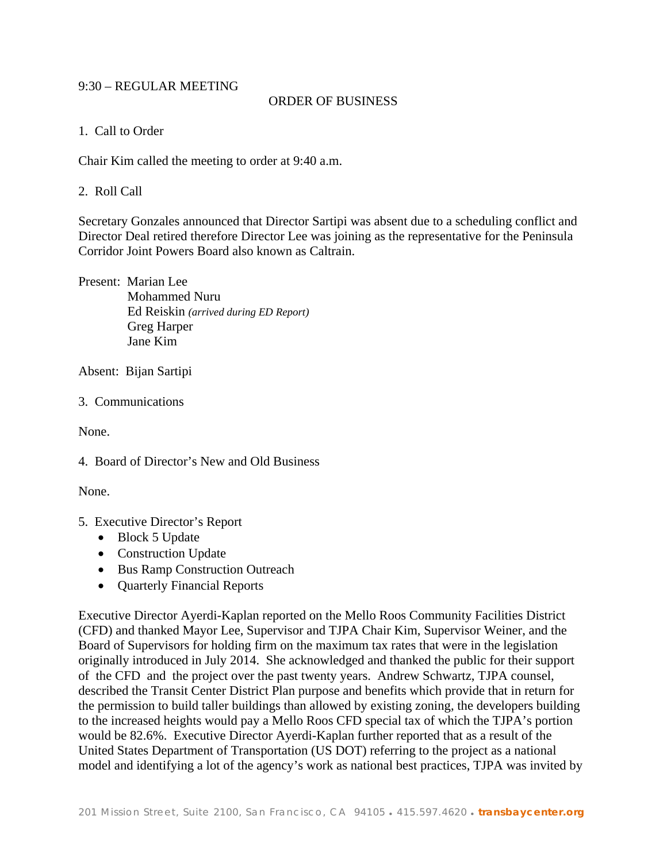## 9:30 – REGULAR MEETING

## ORDER OF BUSINESS

1. Call to Order

Chair Kim called the meeting to order at 9:40 a.m.

## 2. Roll Call

Secretary Gonzales announced that Director Sartipi was absent due to a scheduling conflict and Director Deal retired therefore Director Lee was joining as the representative for the Peninsula Corridor Joint Powers Board also known as Caltrain.

Present: Marian Lee Mohammed Nuru Ed Reiskin *(arrived during ED Report)* Greg Harper Jane Kim

Absent: Bijan Sartipi

3. Communications

None.

4. Board of Director's New and Old Business

None.

- 5. Executive Director's Report
	- Block 5 Update
	- Construction Update
	- Bus Ramp Construction Outreach
	- Ouarterly Financial Reports

Executive Director Ayerdi-Kaplan reported on the Mello Roos Community Facilities District (CFD) and thanked Mayor Lee, Supervisor and TJPA Chair Kim, Supervisor Weiner, and the Board of Supervisors for holding firm on the maximum tax rates that were in the legislation originally introduced in July 2014. She acknowledged and thanked the public for their support of the CFD and the project over the past twenty years. Andrew Schwartz, TJPA counsel, described the Transit Center District Plan purpose and benefits which provide that in return for the permission to build taller buildings than allowed by existing zoning, the developers building to the increased heights would pay a Mello Roos CFD special tax of which the TJPA's portion would be 82.6%. Executive Director Ayerdi-Kaplan further reported that as a result of the United States Department of Transportation (US DOT) referring to the project as a national model and identifying a lot of the agency's work as national best practices, TJPA was invited by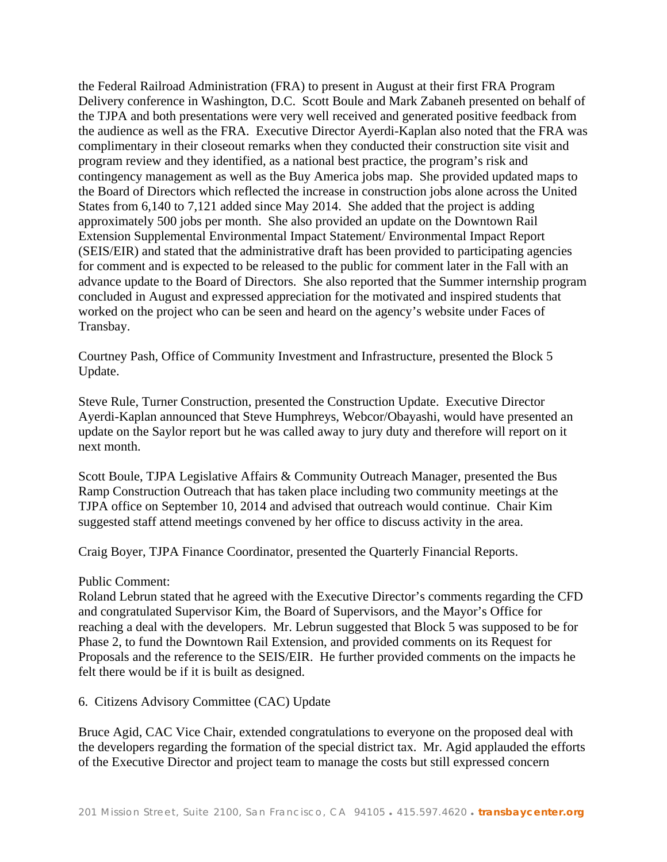the Federal Railroad Administration (FRA) to present in August at their first FRA Program Delivery conference in Washington, D.C. Scott Boule and Mark Zabaneh presented on behalf of the TJPA and both presentations were very well received and generated positive feedback from the audience as well as the FRA. Executive Director Ayerdi-Kaplan also noted that the FRA was complimentary in their closeout remarks when they conducted their construction site visit and program review and they identified, as a national best practice, the program's risk and contingency management as well as the Buy America jobs map. She provided updated maps to the Board of Directors which reflected the increase in construction jobs alone across the United States from 6,140 to 7,121 added since May 2014. She added that the project is adding approximately 500 jobs per month. She also provided an update on the Downtown Rail Extension Supplemental Environmental Impact Statement/ Environmental Impact Report (SEIS/EIR) and stated that the administrative draft has been provided to participating agencies for comment and is expected to be released to the public for comment later in the Fall with an advance update to the Board of Directors. She also reported that the Summer internship program concluded in August and expressed appreciation for the motivated and inspired students that worked on the project who can be seen and heard on the agency's website under Faces of Transbay.

Courtney Pash, Office of Community Investment and Infrastructure, presented the Block 5 Update.

Steve Rule, Turner Construction, presented the Construction Update. Executive Director Ayerdi-Kaplan announced that Steve Humphreys, Webcor/Obayashi, would have presented an update on the Saylor report but he was called away to jury duty and therefore will report on it next month.

Scott Boule, TJPA Legislative Affairs & Community Outreach Manager, presented the Bus Ramp Construction Outreach that has taken place including two community meetings at the TJPA office on September 10, 2014 and advised that outreach would continue. Chair Kim suggested staff attend meetings convened by her office to discuss activity in the area.

Craig Boyer, TJPA Finance Coordinator, presented the Quarterly Financial Reports.

#### Public Comment:

Roland Lebrun stated that he agreed with the Executive Director's comments regarding the CFD and congratulated Supervisor Kim, the Board of Supervisors, and the Mayor's Office for reaching a deal with the developers. Mr. Lebrun suggested that Block 5 was supposed to be for Phase 2, to fund the Downtown Rail Extension, and provided comments on its Request for Proposals and the reference to the SEIS/EIR. He further provided comments on the impacts he felt there would be if it is built as designed.

6. Citizens Advisory Committee (CAC) Update

Bruce Agid, CAC Vice Chair, extended congratulations to everyone on the proposed deal with the developers regarding the formation of the special district tax. Mr. Agid applauded the efforts of the Executive Director and project team to manage the costs but still expressed concern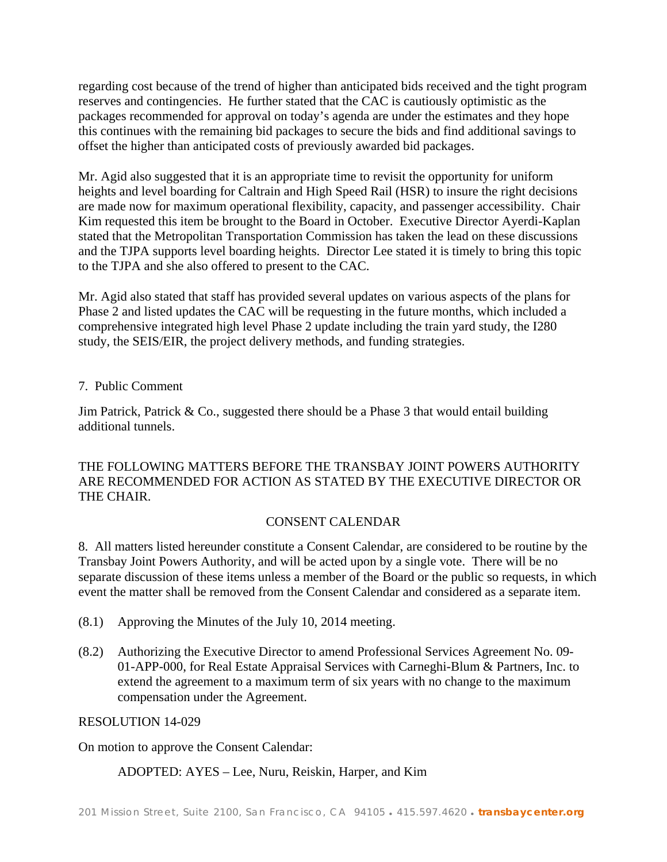regarding cost because of the trend of higher than anticipated bids received and the tight program reserves and contingencies. He further stated that the CAC is cautiously optimistic as the packages recommended for approval on today's agenda are under the estimates and they hope this continues with the remaining bid packages to secure the bids and find additional savings to offset the higher than anticipated costs of previously awarded bid packages.

Mr. Agid also suggested that it is an appropriate time to revisit the opportunity for uniform heights and level boarding for Caltrain and High Speed Rail (HSR) to insure the right decisions are made now for maximum operational flexibility, capacity, and passenger accessibility. Chair Kim requested this item be brought to the Board in October. Executive Director Ayerdi-Kaplan stated that the Metropolitan Transportation Commission has taken the lead on these discussions and the TJPA supports level boarding heights. Director Lee stated it is timely to bring this topic to the TJPA and she also offered to present to the CAC.

Mr. Agid also stated that staff has provided several updates on various aspects of the plans for Phase 2 and listed updates the CAC will be requesting in the future months, which included a comprehensive integrated high level Phase 2 update including the train yard study, the I280 study, the SEIS/EIR, the project delivery methods, and funding strategies.

## 7. Public Comment

Jim Patrick, Patrick  $& Co.,$  suggested there should be a Phase 3 that would entail building additional tunnels.

THE FOLLOWING MATTERS BEFORE THE TRANSBAY JOINT POWERS AUTHORITY ARE RECOMMENDED FOR ACTION AS STATED BY THE EXECUTIVE DIRECTOR OR THE CHAIR.

## CONSENT CALENDAR

8. All matters listed hereunder constitute a Consent Calendar, are considered to be routine by the Transbay Joint Powers Authority, and will be acted upon by a single vote. There will be no separate discussion of these items unless a member of the Board or the public so requests, in which event the matter shall be removed from the Consent Calendar and considered as a separate item.

- (8.1) Approving the Minutes of the July 10, 2014 meeting.
- (8.2) Authorizing the Executive Director to amend Professional Services Agreement No. 09- 01-APP-000, for Real Estate Appraisal Services with Carneghi-Blum & Partners, Inc. to extend the agreement to a maximum term of six years with no change to the maximum compensation under the Agreement.

RESOLUTION 14-029

On motion to approve the Consent Calendar:

## ADOPTED: AYES – Lee, Nuru, Reiskin, Harper, and Kim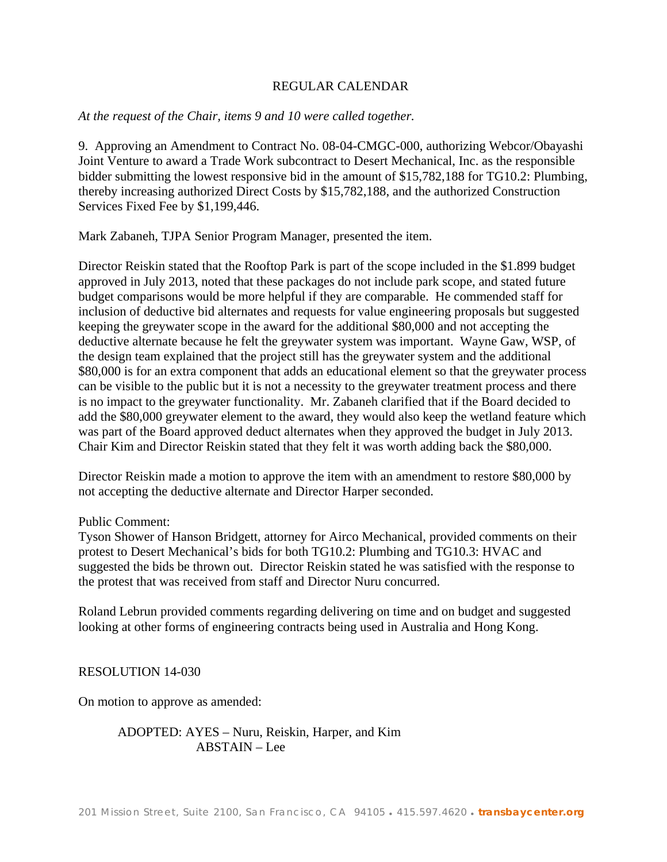## REGULAR CALENDAR

## *At the request of the Chair, items 9 and 10 were called together.*

9. Approving an Amendment to Contract No. 08-04-CMGC-000, authorizing Webcor/Obayashi Joint Venture to award a Trade Work subcontract to Desert Mechanical, Inc. as the responsible bidder submitting the lowest responsive bid in the amount of \$15,782,188 for TG10.2: Plumbing, thereby increasing authorized Direct Costs by \$15,782,188, and the authorized Construction Services Fixed Fee by \$1,199,446.

Mark Zabaneh, TJPA Senior Program Manager, presented the item.

Director Reiskin stated that the Rooftop Park is part of the scope included in the \$1.899 budget approved in July 2013, noted that these packages do not include park scope, and stated future budget comparisons would be more helpful if they are comparable. He commended staff for inclusion of deductive bid alternates and requests for value engineering proposals but suggested keeping the greywater scope in the award for the additional \$80,000 and not accepting the deductive alternate because he felt the greywater system was important. Wayne Gaw, WSP, of the design team explained that the project still has the greywater system and the additional \$80,000 is for an extra component that adds an educational element so that the greywater process can be visible to the public but it is not a necessity to the greywater treatment process and there is no impact to the greywater functionality. Mr. Zabaneh clarified that if the Board decided to add the \$80,000 greywater element to the award, they would also keep the wetland feature which was part of the Board approved deduct alternates when they approved the budget in July 2013. Chair Kim and Director Reiskin stated that they felt it was worth adding back the \$80,000.

Director Reiskin made a motion to approve the item with an amendment to restore \$80,000 by not accepting the deductive alternate and Director Harper seconded.

#### Public Comment:

Tyson Shower of Hanson Bridgett, attorney for Airco Mechanical, provided comments on their protest to Desert Mechanical's bids for both TG10.2: Plumbing and TG10.3: HVAC and suggested the bids be thrown out. Director Reiskin stated he was satisfied with the response to the protest that was received from staff and Director Nuru concurred.

Roland Lebrun provided comments regarding delivering on time and on budget and suggested looking at other forms of engineering contracts being used in Australia and Hong Kong.

RESOLUTION 14-030

On motion to approve as amended:

ADOPTED: AYES – Nuru, Reiskin, Harper, and Kim ABSTAIN – Lee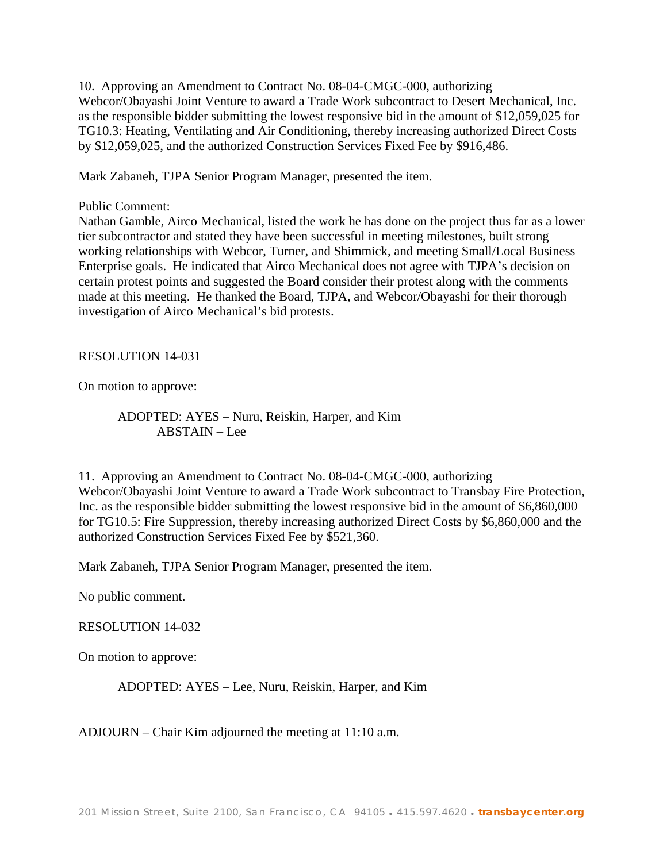10. Approving an Amendment to Contract No. 08-04-CMGC-000, authorizing Webcor/Obayashi Joint Venture to award a Trade Work subcontract to Desert Mechanical, Inc. as the responsible bidder submitting the lowest responsive bid in the amount of \$12,059,025 for TG10.3: Heating, Ventilating and Air Conditioning, thereby increasing authorized Direct Costs by \$12,059,025, and the authorized Construction Services Fixed Fee by \$916,486.

Mark Zabaneh, TJPA Senior Program Manager, presented the item.

#### Public Comment:

Nathan Gamble, Airco Mechanical, listed the work he has done on the project thus far as a lower tier subcontractor and stated they have been successful in meeting milestones, built strong working relationships with Webcor, Turner, and Shimmick, and meeting Small/Local Business Enterprise goals. He indicated that Airco Mechanical does not agree with TJPA's decision on certain protest points and suggested the Board consider their protest along with the comments made at this meeting. He thanked the Board, TJPA, and Webcor/Obayashi for their thorough investigation of Airco Mechanical's bid protests.

RESOLUTION 14-031

On motion to approve:

ADOPTED: AYES – Nuru, Reiskin, Harper, and Kim ABSTAIN – Lee

11. Approving an Amendment to Contract No. 08-04-CMGC-000, authorizing Webcor/Obayashi Joint Venture to award a Trade Work subcontract to Transbay Fire Protection, Inc. as the responsible bidder submitting the lowest responsive bid in the amount of \$6,860,000 for TG10.5: Fire Suppression, thereby increasing authorized Direct Costs by \$6,860,000 and the authorized Construction Services Fixed Fee by \$521,360.

Mark Zabaneh, TJPA Senior Program Manager, presented the item.

No public comment.

#### RESOLUTION 14-032

On motion to approve:

ADOPTED: AYES – Lee, Nuru, Reiskin, Harper, and Kim

ADJOURN – Chair Kim adjourned the meeting at 11:10 a.m.